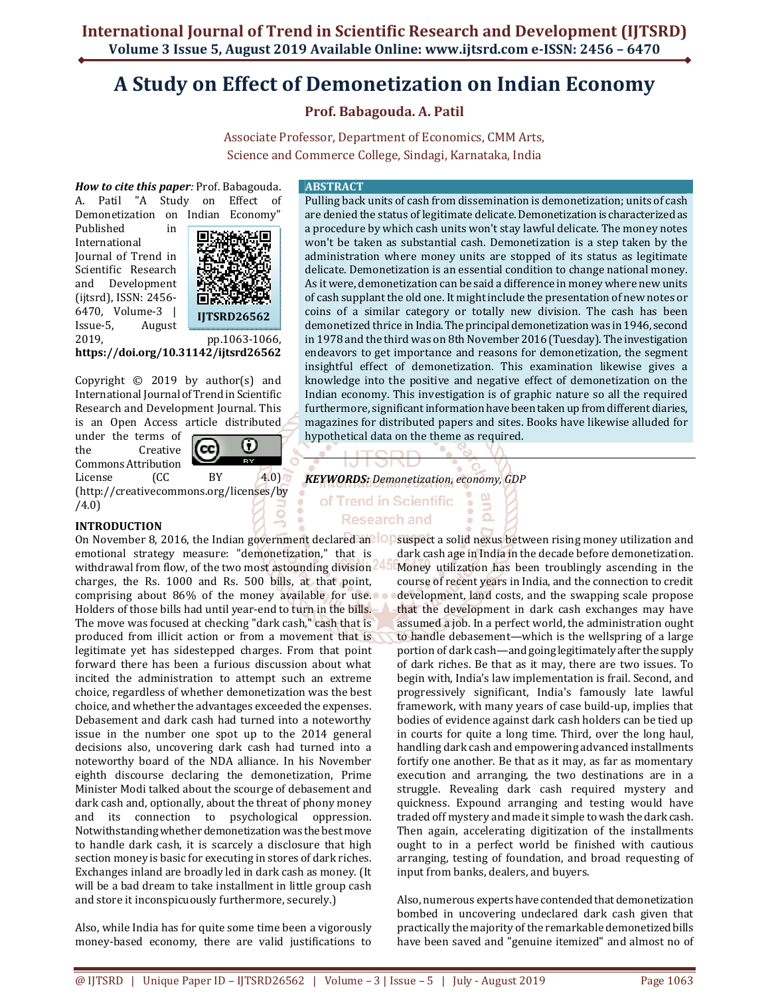# **A Study on Effect of Demonetization on Indian Economy**

## **Prof. Babagouda. A. Patil**

Associate Professor, Department of Economics, CMM Arts, Science and Commerce College, Sindagi, Karnataka, India

*How to cite this paper:* Prof. Babagouda. A. Patil "A Study on Effect of Demonetization on Indian Economy"

Published in International Journal of Trend in Scientific Research and Development (ijtsrd), ISSN: 2456- 6470, Volume-3 | Issue-5, August



**https://doi.org/10.31142/ijtsrd26562**

Copyright © 2019 by author(s) and International Journal of Trend in Scientific Research and Development Journal. This is an Open Access article distributed

under the terms of the Creative Commons Attribution

0 (cc **Tara** 

License (CC BY 4.0) (http://creativecommons.org/licenses/by /4.0)

## **INTRODUCTION**

emotional strategy measure: "demonetization," that is withdrawal from flow, of the two most astounding division charges, the Rs. 1000 and Rs. 500 bills, at that point, comprising about 86% of the money available for use. Holders of those bills had until year-end to turn in the bills. The move was focused at checking "dark cash," cash that is produced from illicit action or from a movement that is legitimate yet has sidestepped charges. From that point forward there has been a furious discussion about what incited the administration to attempt such an extreme choice, regardless of whether demonetization was the best choice, and whether the advantages exceeded the expenses. Debasement and dark cash had turned into a noteworthy issue in the number one spot up to the 2014 general decisions also, uncovering dark cash had turned into a noteworthy board of the NDA alliance. In his November eighth discourse declaring the demonetization, Prime Minister Modi talked about the scourge of debasement and dark cash and, optionally, about the threat of phony money and its connection to psychological oppression. Notwithstanding whether demonetization was the best move to handle dark cash, it is scarcely a disclosure that high section money is basic for executing in stores of dark riches. Exchanges inland are broadly led in dark cash as money. (It will be a bad dream to take installment in little group cash and store it inconspicuously furthermore, securely.)

Also, while India has for quite some time been a vigorously money-based economy, there are valid justifications to

#### **ABSTRACT**

Pulling back units of cash from dissemination is demonetization; units of cash are denied the status of legitimate delicate. Demonetization is characterized as a procedure by which cash units won't stay lawful delicate. The money notes won't be taken as substantial cash. Demonetization is a step taken by the administration where money units are stopped of its status as legitimate delicate. Demonetization is an essential condition to change national money. As it were, demonetization can be said a difference in money where new units of cash supplant the old one. It might include the presentation of new notes or coins of a similar category or totally new division. The cash has been demonetized thrice in India. The principal demonetization was in 1946, second in 1978 and the third was on 8th November 2016 (Tuesday). The investigation endeavors to get importance and reasons for demonetization, the segment insightful effect of demonetization. This examination likewise gives a knowledge into the positive and negative effect of demonetization on the Indian economy. This investigation is of graphic nature so all the required furthermore, significant information have been taken up from different diaries, magazines for distributed papers and sites. Books have likewise alluded for hypothetical data on the theme as required.

> Э  $\Omega$

*KEYWORDS: Demonetization, economy, GDP* 

## of Trend in Scientific **Research and**

On November 8, 2016, the Indian government declared an **OD** suspect a solid nexus between rising money utilization and dark cash age in India in the decade before demonetization. Money utilization has been troublingly ascending in the course of recent years in India, and the connection to credit development, land costs, and the swapping scale propose that the development in dark cash exchanges may have assumed a job. In a perfect world, the administration ought to handle debasement—which is the wellspring of a large portion of dark cash—and going legitimately after the supply of dark riches. Be that as it may, there are two issues. To begin with, India's law implementation is frail. Second, and progressively significant, India's famously late lawful framework, with many years of case build-up, implies that bodies of evidence against dark cash holders can be tied up in courts for quite a long time. Third, over the long haul, handling dark cash and empowering advanced installments fortify one another. Be that as it may, as far as momentary execution and arranging, the two destinations are in a struggle. Revealing dark cash required mystery and quickness. Expound arranging and testing would have traded off mystery and made it simple to wash the dark cash. Then again, accelerating digitization of the installments ought to in a perfect world be finished with cautious arranging, testing of foundation, and broad requesting of input from banks, dealers, and buyers.

> Also, numerous experts have contended that demonetization bombed in uncovering undeclared dark cash given that practically the majority of the remarkable demonetized bills have been saved and "genuine itemized" and almost no of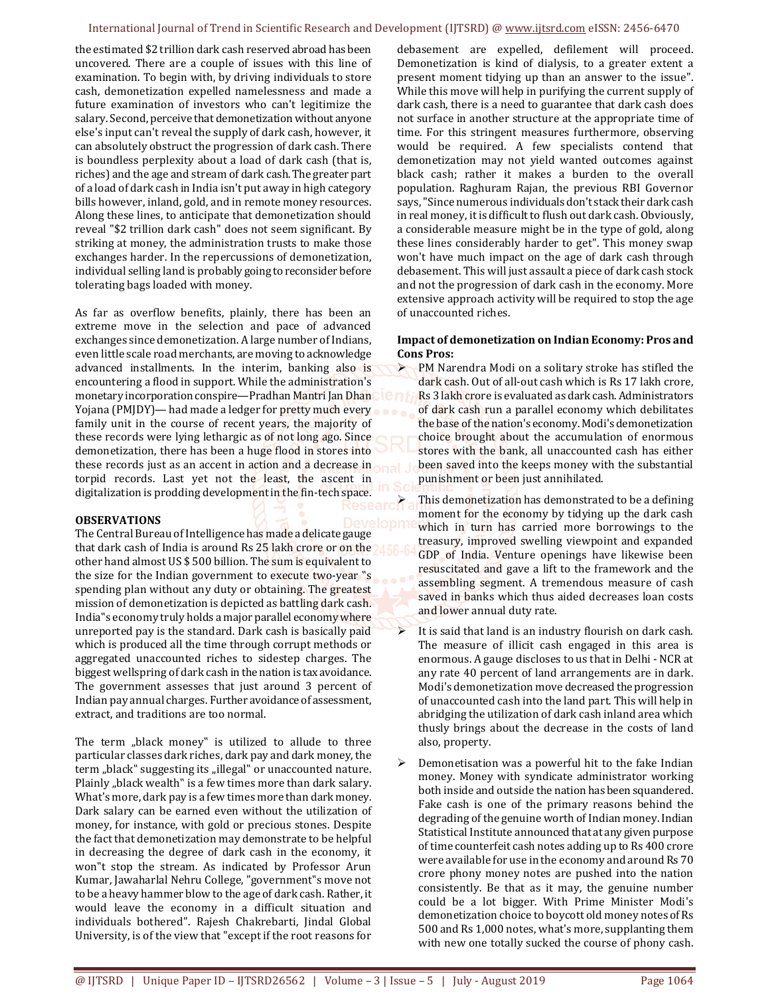#### International Journal of Trend in Scientific Research and Development (IJTSRD) @ www.ijtsrd.com eISSN: 2456-6470

the estimated \$2 trillion dark cash reserved abroad has been uncovered. There are a couple of issues with this line of examination. To begin with, by driving individuals to store cash, demonetization expelled namelessness and made a future examination of investors who can't legitimize the salary. Second, perceive that demonetization without anyone else's input can't reveal the supply of dark cash, however, it can absolutely obstruct the progression of dark cash. There is boundless perplexity about a load of dark cash (that is, riches) and the age and stream of dark cash. The greater part of a load of dark cash in India isn't put away in high category bills however, inland, gold, and in remote money resources. Along these lines, to anticipate that demonetization should reveal "\$2 trillion dark cash" does not seem significant. By striking at money, the administration trusts to make those exchanges harder. In the repercussions of demonetization, individual selling land is probably going to reconsider before tolerating bags loaded with money.

As far as overflow benefits, plainly, there has been an extreme move in the selection and pace of advanced exchanges since demonetization. A large number of Indians, even little scale road merchants, are moving to acknowledge advanced installments. In the interim, banking also is encountering a flood in support. While the administration's monetary incorporation conspire—Pradhan Mantri Jan Dhan Yojana (PMJDY)— had made a ledger for pretty much every family unit in the course of recent years, the majority of these records were lying lethargic as of not long ago. Since demonetization, there has been a huge flood in stores into these records just as an accent in action and a decrease in torpid records. Last yet not the least, the ascent in digitalization is prodding development in the fin-tech space.

#### **OBSERVATIONS**

The Central Bureau of Intelligence has made a delicate gauge that dark cash of India is around Rs 25 lakh crore or on the M other hand almost US \$ 500 billion. The sum is equivalent to the size for the Indian government to execute two-year "s spending plan without any duty or obtaining. The greatest mission of demonetization is depicted as battling dark cash. India"s economy truly holds a major parallel economy where unreported pay is the standard. Dark cash is basically paid which is produced all the time through corrupt methods or aggregated unaccounted riches to sidestep charges. The biggest wellspring of dark cash in the nation is tax avoidance. The government assesses that just around 3 percent of Indian pay annual charges. Further avoidance of assessment, extract, and traditions are too normal.

The term "black money" is utilized to allude to three particular classes dark riches, dark pay and dark money, the term "black" suggesting its "illegal" or unaccounted nature. Plainly "black wealth" is a few times more than dark salary. What's more, dark pay is a few times more than dark money. Dark salary can be earned even without the utilization of money, for instance, with gold or precious stones. Despite the fact that demonetization may demonstrate to be helpful in decreasing the degree of dark cash in the economy, it won"t stop the stream. As indicated by Professor Arun Kumar, Jawaharlal Nehru College, "government"s move not to be a heavy hammer blow to the age of dark cash. Rather, it would leave the economy in a difficult situation and individuals bothered". Rajesh Chakrebarti, Jindal Global University, is of the view that "except if the root reasons for debasement are expelled, defilement will proceed. Demonetization is kind of dialysis, to a greater extent a present moment tidying up than an answer to the issue". While this move will help in purifying the current supply of dark cash, there is a need to guarantee that dark cash does not surface in another structure at the appropriate time of time. For this stringent measures furthermore, observing would be required. A few specialists contend that demonetization may not yield wanted outcomes against black cash; rather it makes a burden to the overall population. Raghuram Rajan, the previous RBI Governor says, "Since numerous individuals don't stack their dark cash in real money, it is difficult to flush out dark cash. Obviously, a considerable measure might be in the type of gold, along these lines considerably harder to get". This money swap won't have much impact on the age of dark cash through debasement. This will just assault a piece of dark cash stock and not the progression of dark cash in the economy. More extensive approach activity will be required to stop the age of unaccounted riches.

#### **Impact of demonetization on Indian Economy: Pros and Cons Pros:**

 PM Narendra Modi on a solitary stroke has stifled the dark cash. Out of all-out cash which is Rs 17 lakh crore, Rs 3 lakh crore is evaluated as dark cash. Administrators of dark cash run a parallel economy which debilitates the base of the nation's economy. Modi's demonetization choice brought about the accumulation of enormous stores with the bank, all unaccounted cash has either been saved into the keeps money with the substantial punishment or been just annihilated.

 This demonetization has demonstrated to be a defining moment for the economy by tidying up the dark cash which in turn has carried more borrowings to the treasury, improved swelling viewpoint and expanded GDP of India. Venture openings have likewise been resuscitated and gave a lift to the framework and the assembling segment. A tremendous measure of cash saved in banks which thus aided decreases loan costs and lower annual duty rate.

 It is said that land is an industry flourish on dark cash. The measure of illicit cash engaged in this area is enormous. A gauge discloses to us that in Delhi - NCR at any rate 40 percent of land arrangements are in dark. Modi's demonetization move decreased the progression of unaccounted cash into the land part. This will help in abridging the utilization of dark cash inland area which thusly brings about the decrease in the costs of land also, property.

 Demonetisation was a powerful hit to the fake Indian money. Money with syndicate administrator working both inside and outside the nation has been squandered. Fake cash is one of the primary reasons behind the degrading of the genuine worth of Indian money. Indian Statistical Institute announced that at any given purpose of time counterfeit cash notes adding up to Rs 400 crore were available for use in the economy and around Rs 70 crore phony money notes are pushed into the nation consistently. Be that as it may, the genuine number could be a lot bigger. With Prime Minister Modi's demonetization choice to boycott old money notes of Rs 500 and Rs 1,000 notes, what's more, supplanting them with new one totally sucked the course of phony cash.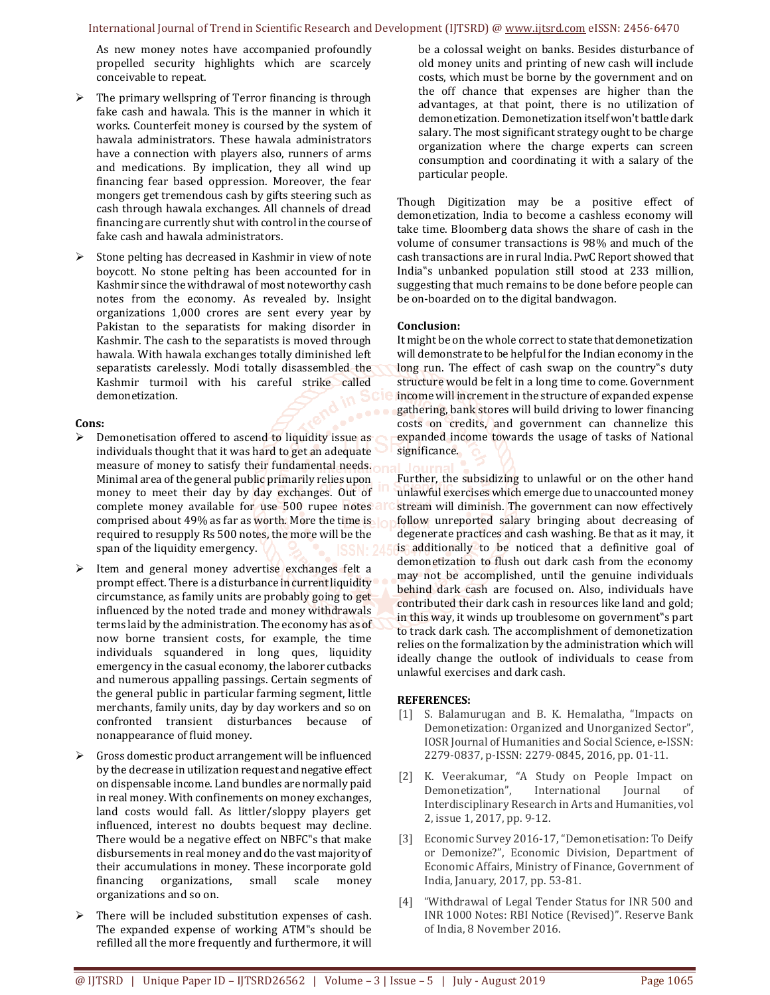As new money notes have accompanied profoundly propelled security highlights which are scarcely conceivable to repeat.

- $\triangleright$  The primary wellspring of Terror financing is through fake cash and hawala. This is the manner in which it works. Counterfeit money is coursed by the system of hawala administrators. These hawala administrators have a connection with players also, runners of arms and medications. By implication, they all wind up financing fear based oppression. Moreover, the fear mongers get tremendous cash by gifts steering such as cash through hawala exchanges. All channels of dread financing are currently shut with control in the course of fake cash and hawala administrators.
- $\triangleright$  Stone pelting has decreased in Kashmir in view of note boycott. No stone pelting has been accounted for in Kashmir since the withdrawal of most noteworthy cash notes from the economy. As revealed by. Insight organizations 1,000 crores are sent every year by Pakistan to the separatists for making disorder in Kashmir. The cash to the separatists is moved through hawala. With hawala exchanges totally diminished left separatists carelessly. Modi totally disassembled the Kashmir turmoil with his careful strike called demonetization.

#### **Cons:**

- $\triangleright$  Demonetisation offered to ascend to liquidity issue as individuals thought that it was hard to get an adequate measure of money to satisfy their fundamental needs. Minimal area of the general public primarily relies upon money to meet their day by day exchanges. Out of complete money available for use 500 rupee notes and comprised about 49% as far as worth. More the time is required to resupply Rs 500 notes, the more will be the span of the liquidity emergency.
- Item and general money advertise exchanges felt a prompt effect. There is a disturbance in current liquidity circumstance, as family units are probably going to get influenced by the noted trade and money withdrawals terms laid by the administration. The economy has as of now borne transient costs, for example, the time individuals squandered in long ques, liquidity emergency in the casual economy, the laborer cutbacks and numerous appalling passings. Certain segments of the general public in particular farming segment, little merchants, family units, day by day workers and so on confronted transient disturbances because of nonappearance of fluid money.
- Gross domestic product arrangement will be influenced by the decrease in utilization request and negative effect on dispensable income. Land bundles are normally paid in real money. With confinements on money exchanges, land costs would fall. As littler/sloppy players get influenced, interest no doubts bequest may decline. There would be a negative effect on NBFC"s that make disbursements in real money and do the vast majority of their accumulations in money. These incorporate gold financing organizations, small scale money organizations and so on.
- $\triangleright$  There will be included substitution expenses of cash. The expanded expense of working ATM"s should be refilled all the more frequently and furthermore, it will

be a colossal weight on banks. Besides disturbance of old money units and printing of new cash will include costs, which must be borne by the government and on the off chance that expenses are higher than the advantages, at that point, there is no utilization of demonetization. Demonetization itself won't battle dark salary. The most significant strategy ought to be charge organization where the charge experts can screen consumption and coordinating it with a salary of the particular people.

Though Digitization may be a positive effect of demonetization, India to become a cashless economy will take time. Bloomberg data shows the share of cash in the volume of consumer transactions is 98% and much of the cash transactions are in rural India. PwC Report showed that India"s unbanked population still stood at 233 million, suggesting that much remains to be done before people can be on-boarded on to the digital bandwagon.

#### **Conclusion:**

It might be on the whole correct to state that demonetization will demonstrate to be helpful for the Indian economy in the long run. The effect of cash swap on the country"s duty structure would be felt in a long time to come. Government income will increment in the structure of expanded expense gathering, bank stores will build driving to lower financing costs on credits, and government can channelize this expanded income towards the usage of tasks of National significance.

Further, the subsidizing to unlawful or on the other hand unlawful exercises which emerge due to unaccounted money stream will diminish. The government can now effectively follow unreported salary bringing about decreasing of degenerate practices and cash washing. Be that as it may, it is additionally to be noticed that a definitive goal of demonetization to flush out dark cash from the economy may not be accomplished, until the genuine individuals behind dark cash are focused on. Also, individuals have contributed their dark cash in resources like land and gold; in this way, it winds up troublesome on government"s part to track dark cash. The accomplishment of demonetization relies on the formalization by the administration which will ideally change the outlook of individuals to cease from unlawful exercises and dark cash.

#### **REFERENCES:**

- [1] S. Balamurugan and B. K. Hemalatha, "Impacts on Demonetization: Organized and Unorganized Sector", IOSR Journal of Humanities and Social Science, e-ISSN: 2279-0837, p-ISSN: 2279-0845, 2016, pp. 01-11.
- [2] K. Veerakumar, "A Study on People Impact on Demonetization", International Journal of Interdisciplinary Research in Arts and Humanities, vol 2, issue 1, 2017, pp. 9-12.
- [3] Economic Survey 2016-17, "Demonetisation: To Deify or Demonize?", Economic Division, Department of Economic Affairs, Ministry of Finance, Government of India, January, 2017, pp. 53-81.
- [4] "Withdrawal of Legal Tender Status for INR 500 and INR 1000 Notes: RBI Notice (Revised)". Reserve Bank of India, 8 November 2016.